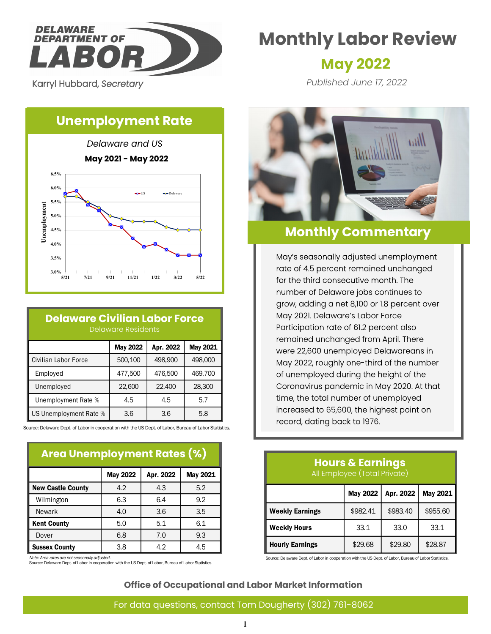

Karryl Hubbard, *Secretary* 

# **Monthly Labor Review**

## **May 2022**

*Published June 17, 2022*

## **Unemployment Rate**



### **Delaware Civilian Labor Force** Delaware Residents

|                        | <b>May 2022</b> | Apr. 2022 | May 2021 |
|------------------------|-----------------|-----------|----------|
| Civilian Labor Force   | 500,100         | 498,900   | 498,000  |
| Employed               | 477,500         | 476,500   | 469,700  |
| Unemployed             | 22,600          | 22,400    | 28,300   |
| Unemployment Rate %    | 4.5             | 4.5       | 5.7      |
| US Unemployment Rate % | 3.6             | 3.6       | 5.8      |

Source: Delaware Dept. of Labor in cooperation with the US Dept. of Labor, Bureau of Labor Statistics.

### **Area Unemployment Rates (%)**

|                          | <b>May 2022</b> | Apr. 2022 | May 2021 |
|--------------------------|-----------------|-----------|----------|
| <b>New Castle County</b> | 4.2             | 4.3       | 5.2      |
| Wilmington               | 6.3             | 6.4       | 9.2      |
| <b>Newark</b>            | 4.0             | 3.6       | 3.5      |
| <b>Kent County</b>       | 5.0             | 5.1       | 6.1      |
| Dover                    | 6.8             | 7.0       | 9.3      |
| <b>Sussex County</b>     | 3.8             | 4.2       | 4.5      |

*Note: Area rates are not seasonally adjusted.*

Source: Delaware Dept. of Labor in cooperation with the US Dept. of Labor, Bureau of Labor Statistics.



## **Monthly Commentary**

May's seasonally adjusted unemployment rate of 4.5 percent remained unchanged for the third consecutive month. The number of Delaware jobs continues to grow, adding a net 8,100 or 1.8 percent over May 2021. Delaware's Labor Force Participation rate of 61.2 percent also remained unchanged from April. There were 22,600 unemployed Delawareans in May 2022, roughly one-third of the number of unemployed during the height of the Coronavirus pandemic in May 2020. At that time, the total number of unemployed increased to 65,600, the highest point on record, dating back to 1976.

#### **Hours & Earnings** All Employee (Total Private)

|                        | Apr. 2022<br><b>May 2022</b> |          | <b>May 2021</b> |
|------------------------|------------------------------|----------|-----------------|
| <b>Weekly Earnings</b> | \$982.41                     | \$983.40 | \$955.60        |
| <b>Weekly Hours</b>    | 33.1                         | 33.0     | 33.1            |
| <b>Hourly Earnings</b> | \$29.68                      | \$29.80  | \$28.87         |

Source: Delaware Dept. of Labor in cooperation with the US Dept. of Labor, Bureau of Labor Statistics.

#### **Office of Occupational and Labor Market Information**

## For data questions, contact Tom Dougherty (302) 761-8062